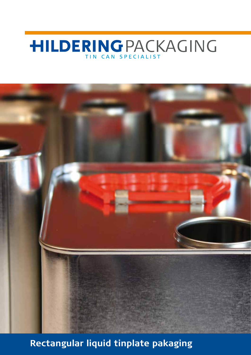# **HILDERINGPACKAGING**



**Rectangular liquid tinplate pakaging**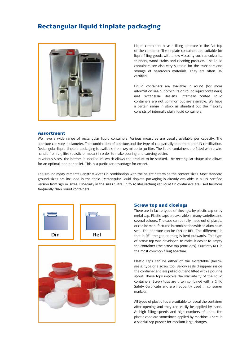## Rectangular liquid tinplate packaging



Liquid containers have a filling aperture in the flat top of the container. The tinplate containers are suitable for liquid filling goods with a low viscosity such as solvents, thinners, wood-stains and cleaning products. The liquid containers are also very suitable for the transport and storage of hazardous materials. They are often UN certified.

Liquid containers are available in round (for more information see our brochure on round liquid containers) and rectangular designs. Internally coated liquid containers are not common but are available. We have a certain range in stock as standard but the majority consists of internally plain liquid containers.

#### Assortment

We have a wide range of rectangular liquid containers. Various measures are usually available per capacity. The aperture can vary in diameter. The combination of aperture and the type of cap partially determine the UN certification. Rectangular liquid tinplate packaging is available from 125 ml up to 30 litre. The liquid containers are fitted with a wire handle from 2.5 litre (plastic or metal) in order to make pouring and carrying easier.

In various sizes, the bottom is 'necked in', which allows the product to be stacked. The rectangular shape also allows for an optimal load per pallet. This is a particular advantage for export.

The ground measurements (length x width) in combination with the height determine the content sizes. Most standard ground sizes are included in the table. Rectangular liquid tinplate packaging is already available in a UN certified version from 250 ml sizes. Especially in the sizes 1 litre up to 10 litre rectangular liquid tin containers are used far more frequently than round containers.





#### Screw top and closings

There are in fact 2 types of closings: by plastic cap or by metal cap. Plastic caps are available in many varieties and several colours. The caps can be fully made out of plastic, or can be manufactured in combination with an aluminium seal. The aperture can be DIN or REL. The difference is that in REL the gap opening is bent outwards. This type of screw top was developed to make it easier to empty the container (the screw top protrudes). Currently REL is the most common filling aperture.

Plastic caps can be either of the extractable (bellow seals) type or a screw top. Bellow seals disappear inside the container and are pulled out and fitted with a pouring spout. These tops improve the stackability of the liquid containers. Screw tops are often combined with a Child Safety Certificate and are frequently used in consumer markets.

All types of plastic lids are suitable to reseal the container after opening and they can easily be applied by hand. At high filling speeds and high numbers of units, the plastic caps are sometimes applied by machine. There is a special cap pusher for medium large charges.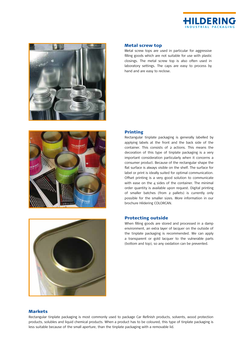



Metal screw top

hand and are easy to reclose.



#### Printing

Rectangular tinplate packaging is generally labelled by applying labels at the front and the back side of the container. This consists of 2 actions. This means the decoration of this type of tinplate packaging is a very important consideration particularly when it concerns a consumer product. Because of the rectangular shape the flat surface is always visible on the shelf. The surface for label or print is ideally suited for optimal communication. Offset printing is a very good solution to communicate with ease on the  $4$  sides of the container. The minimal order quantity is available upon request. Digital printing of smaller batches (from 2 pallets) is currently only possible for the smaller sizes. More information in our brochure Hildering Colorcan.

Metal screw tops are used in particular for aggressive filling goods which are not suitable for use with plastic closings. The metal screw top is also often used in laboratory settings. The caps are easy to process by

#### Protecting outside

When filling goods are stored and processed in a damp environment, an extra layer of lacquer on the outside of the tinplate packaging is recommended. We can apply a transparent or gold lacquer to the vulnerable parts (bottom and top), so any oxidation can be prevented.

#### **Markets**

Rectangular tinplate packaging is most commonly used to package Car Refinish products, solvents, wood protection products, solubles and liquid chemical products. When a product has to be coloured, this type of tinplate packaging is less suitable because of the small aperture, than the tinplate packaging with a removable lid.